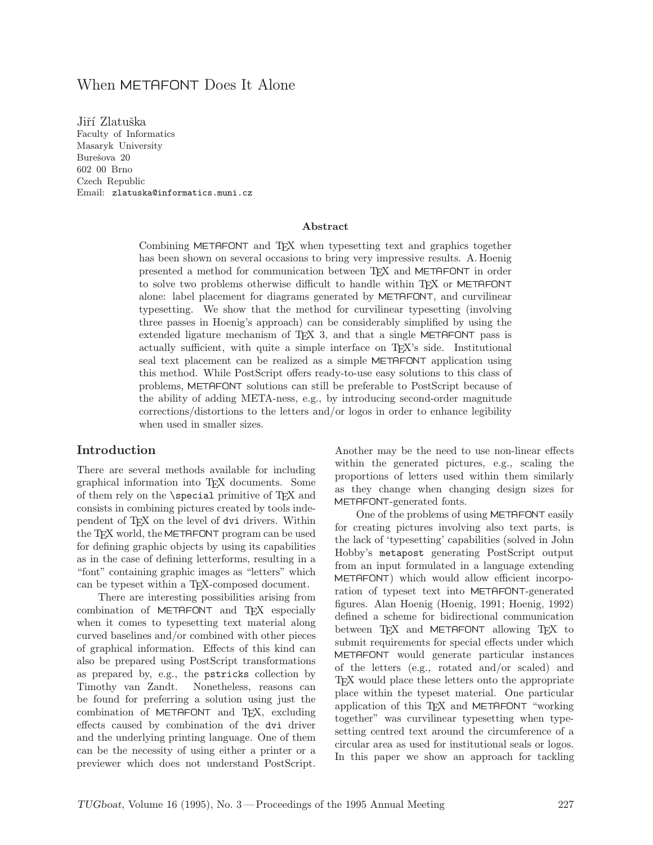# When METAFONT Does It Alone

Jiří Zlatuška Faculty of Informatics Masaryk University Burešova 20 602 00 Brno Czech Republic Email: zlatuska@informatics.muni.cz

#### Abstract

Combining METAFONT and TEX when typesetting text and graphics together has been shown on several occasions to bring very impressive results. A.Hoenig presented a method for communication between TEX and METAFONT in order to solve two problems otherwise difficult to handle within T<sub>EX</sub> or METAFONT alone: label placement for diagrams generated by METAFONT, and curvilinear typesetting. We show that the method for curvilinear typesetting (involving three passes in Hoenig's approach) can be considerably simplified by using the extended ligature mechanism of TEX 3, and that a single METAFONT pass is actually sufficient, with quite a simple interface on TEX's side. Institutional seal text placement can be realized as a simple METAFONT application using this method. While PostScript offers ready-to-use easy solutions to this class of problems, METAFONT solutions can still be preferable to PostScript because of the ability of adding META-ness, e.g., by introducing second-order magnitude corrections/distortions to the letters and/or logos in order to enhance legibility when used in smaller sizes.

### Introduction

There are several methods available for including graphical information into TEX documents. Some of them rely on the \special primitive of TEX and consists in combining pictures created by tools independent of TEX on the level of dvi drivers. Within the T<sub>E</sub>X world, the METAFONT program can be used for defining graphic objects by using its capabilities as in the case of defining letterforms, resulting in a "font" containing graphic images as "letters" which can be typeset within a T<sub>E</sub>X-composed document.

There are interesting possibilities arising from combination of METAFONT and T<sub>E</sub>X especially when it comes to typesetting text material along curved baselines and/or combined with other pieces of graphical information. Effects of this kind can also be prepared using PostScript transformations as prepared by, e.g., the pstricks collection by Timothy van Zandt. Nonetheless, reasons can be found for preferring a solution using just the combination of METAFONT and T<sub>F</sub>X, excluding effects caused by combination of the dvi driver and the underlying printing language. One of them can be the necessity of using either a printer or a previewer which does not understand PostScript.

Another may be the need to use non-linear effects within the generated pictures, e.g., scaling the proportions of letters used within them similarly as they change when changing design sizes for METAFONT-generated fonts.

One of the problems of using METAFONT easily for creating pictures involving also text parts, is the lack of 'typesetting' capabilities (solved in John Hobby's metapost generating PostScript output from an input formulated in a language extending METAFONT) which would allow efficient incorporation of typeset text into METAFONT-generated figures. Alan Hoenig (Hoenig, 1991; Hoenig, 1992) defined a scheme for bidirectional communication between TFX and METAFONT allowing TFX to submit requirements for special effects under which METAFONT would generate particular instances of the letters (e.g., rotated and/or scaled) and TEX would place these letters onto the appropriate place within the typeset material. One particular application of this TEX and METAFONT "working together" was curvilinear typesetting when typesetting centred text around the circumference of a circular area as used for institutional seals or logos. In this paper we show an approach for tackling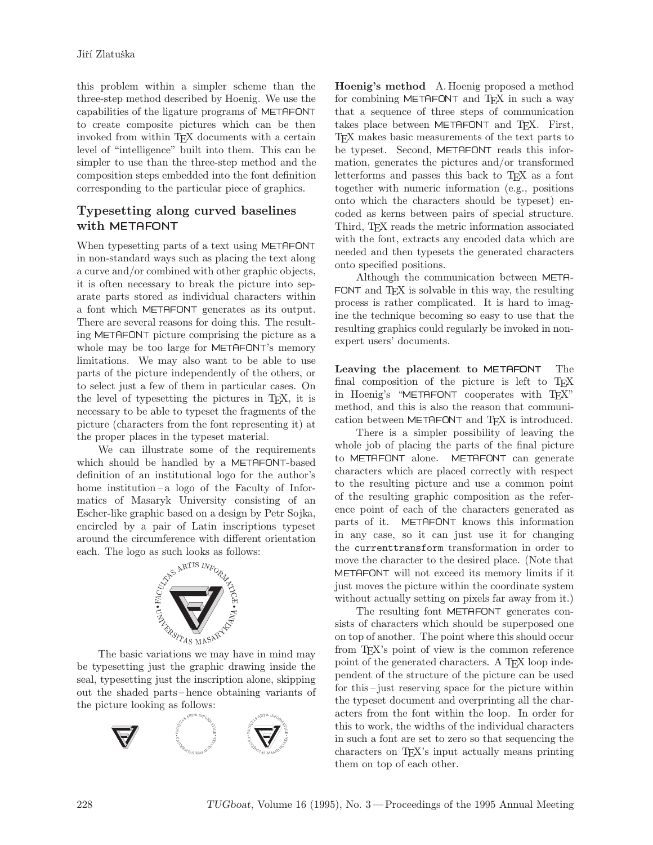this problem within a simpler scheme than the three-step method described by Hoenig. We use the capabilities of the ligature programs of METAFONT to create composite pictures which can be then invoked from within TFX documents with a certain level of "intelligence" built into them. This can be simpler to use than the three-step method and the composition steps embedded into the font definition corresponding to the particular piece of graphics.

## Typesetting along curved baselines with METAFONT

When typesetting parts of a text using METAFONT in non-standard ways such as placing the text along a curve and/or combined with other graphic objects, it is often necessary to break the picture into separate parts stored as individual characters within a font which METAFONT generates as its output. There are several reasons for doing this. The resulting METAFONT picture comprising the picture as a whole may be too large for METAFONT's memory limitations. We may also want to be able to use parts of the picture independently of the others, or to select just a few of them in particular cases. On the level of typesetting the pictures in TEX, it is necessary to be able to typeset the fragments of the picture (characters from the font representing it) at the proper places in the typeset material.

We can illustrate some of the requirements which should be handled by a METAFONT-based definition of an institutional logo for the author's home institution–a logo of the Faculty of Informatics of Masaryk University consisting of an Escher-like graphic based on a design by Petr Sojka, encircled by a pair of Latin inscriptions typeset around the circumference with different orientation each. The logo as such looks as follows:



The basic variations we may have in mind may be typesetting just the graphic drawing inside the seal, typesetting just the inscription alone, skipping out the shaded parts– hence obtaining variants of the picture looking as follows:



Hoenig's method A.Hoenig proposed a method for combining METAFONT and TFX in such a way that a sequence of three steps of communication takes place between METAFONT and TEX. First, TEX makes basic measurements of the text parts to be typeset. Second, METAFONT reads this information, generates the pictures and/or transformed letterforms and passes this back to TEX as a font together with numeric information (e.g., positions onto which the characters should be typeset) encoded as kerns between pairs of special structure. Third, TEX reads the metric information associated with the font, extracts any encoded data which are needed and then typesets the generated characters onto specified positions.

Although the communication between META- FONT and  $T_FX$  is solvable in this way, the resulting process is rather complicated. It is hard to imagine the technique becoming so easy to use that the resulting graphics could regularly be invoked in nonexpert users' documents.

Leaving the placement to METAFONT The final composition of the picture is left to TFX in Hoenig's "METAFONT cooperates with TFX" method, and this is also the reason that communication between METAFONT and TEX is introduced.

There is a simpler possibility of leaving the whole job of placing the parts of the final picture to METAFONT alone. METAFONT can generate characters which are placed correctly with respect to the resulting picture and use a common point of the resulting graphic composition as the reference point of each of the characters generated as parts of it. METAFONT knows this information in any case, so it can just use it for changing the currenttransform transformation in order to move the character to the desired place. (Note that METAFONT will not exceed its memory limits if it just moves the picture within the coordinate system without actually setting on pixels far away from it.)

The resulting font METAFONT generates consists of characters which should be superposed one on top of another. The point where this should occur from T<sub>E</sub>X's point of view is the common reference point of the generated characters. A T<sub>E</sub>X loop independent of the structure of the picture can be used for this –just reserving space for the picture within the typeset document and overprinting all the characters from the font within the loop. In order for this to work, the widths of the individual characters in such a font are set to zero so that sequencing the characters on TEX's input actually means printing them on top of each other.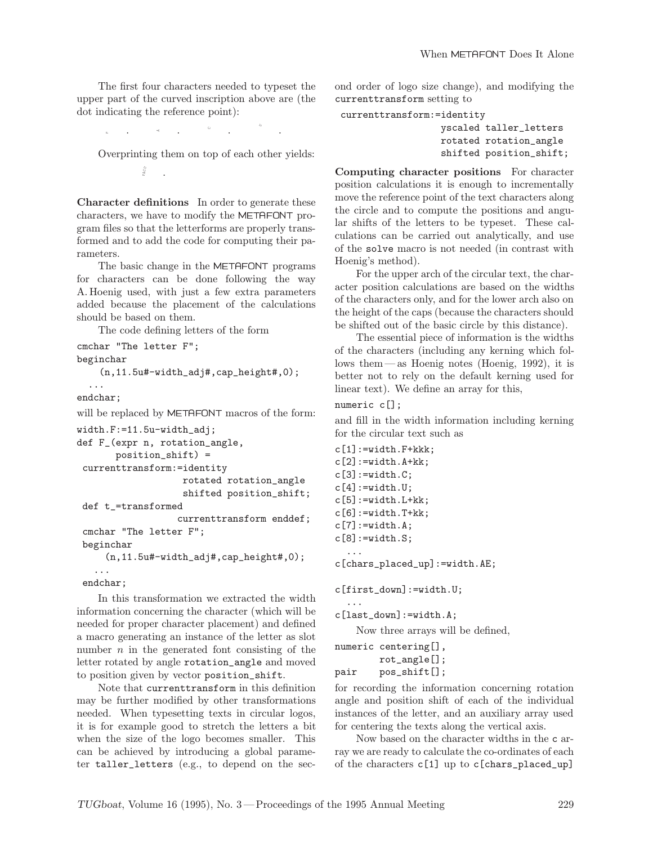The first four characters needed to typeset the upper part of the curved inscription above are (the dot indicating the reference point):

```
. \mathbb{R}^2 \times \mathbb{R}^2 \times \mathbb{R}. .
```
Overprinting them on top of each other yields:  $n_{\mathrm{CO}}$ .-

Character definitions In order to generate these characters, we have to modify the METAFONT program files so that the letterforms are properly transformed and to add the code for computing their parameters.

The basic change in the METAFONT programs for characters can be done following the way A.Hoenig used, with just a few extra parameters added because the placement of the calculations should be based on them.

The code defining letters of the form

```
cmchar "The letter F";
beginchar
    (n, 11.5u\text{#-width\_adj#}, cap\_height\text{#}, 0);...
endchar;
will be replaced by METAFONT macros of the form:
width.F:=11.5u-width_adj;
def F_(expr n, rotation_angle,
       position_shift) =
 currenttransform:=identity
                    rotated rotation_angle
                    shifted position_shift;
 def t_=transformed
                   currenttransform enddef;
 cmchar "The letter F";
 beginchar
     (n,11.5u#-width_adj#,cap_height#,0);
   ...
 endchar;
```
In this transformation we extracted the width information concerning the character (which will be needed for proper character placement) and defined a macro generating an instance of the letter as slot number  $n$  in the generated font consisting of the letter rotated by angle rotation\_angle and moved to position given by vector position\_shift.

Note that currenttransform in this definition may be further modified by other transformations needed. When typesetting texts in circular logos, it is for example good to stretch the letters a bit when the size of the logo becomes smaller. This can be achieved by introducing a global parameter taller\_letters (e.g., to depend on the second order of logo size change), and modifying the currenttransform setting to

```
currenttransform:=identity
```
yscaled taller\_letters rotated rotation\_angle shifted position\_shift;

Computing character positions For character position calculations it is enough to incrementally move the reference point of the text characters along the circle and to compute the positions and angular shifts of the letters to be typeset. These calculations can be carried out analytically, and use of the solve macro is not needed (in contrast with Hoenig's method).

For the upper arch of the circular text, the character position calculations are based on the widths of the characters only, and for the lower arch also on the height of the caps (because the characters should be shifted out of the basic circle by this distance).

The essential piece of information is the widths of the characters (including any kerning which follows them—as Hoenig notes (Hoenig, 1992), it is better not to rely on the default kerning used for linear text). We define an array for this,

#### numeric c[];

and fill in the width information including kerning for the circular text such as

```
c[1]:=width.F+kkk;c[2]:=width.A+kk;c[3]:=width.C;c[4]:=width.U;c[5]:=width.L+kk;c[6]:=width.T+kk;c[7]:=width.A;c[8]:=width.S;...
c[chars_placed_up]:=width.AE;
```

```
c[first_down]:=width.U;
```

```
...
c[last_down]:=width.A;
```
Now three arrays will be defined,

```
numeric centering[],
       rot_angle[];
pair pos_shift[];
```
for recording the information concerning rotation angle and position shift of each of the individual instances of the letter, and an auxiliary array used for centering the texts along the vertical axis.

Now based on the character widths in the c array we are ready to calculate the co-ordinates of each of the characters c[1] up to c[chars\_placed\_up]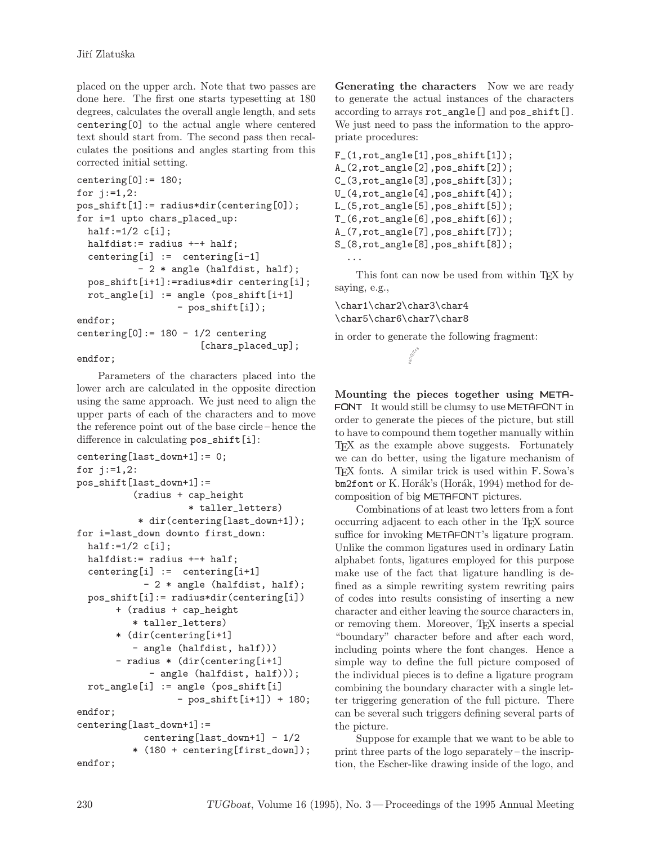placed on the upper arch. Note that two passes are done here. The first one starts typesetting at 180 degrees, calculates the overall angle length, and sets centering[0] to the actual angle where centered text should start from. The second pass then recalculates the positions and angles starting from this corrected initial setting.

```
centering[0]: = 180;
for j:=1,2:
pos_shift[1]:= radius*dir(centering[0]);
for i=1 upto chars_placed_up:
 half:=1/2 c[i];
 halfdist:= radius +-+ half;
  centering[i] := centering[i-1]
           - 2 * angle (halfdist, half);
  pos_shift[i+1]:=radius*dir centering[i];
  rot\_angle[i] := angle (pos_shift[i+1]
                  - pos_shift[i]);
endfor;
centering[0] := 180 - 1/2 centering
                      [chars_placed_up];
```
### endfor;

Parameters of the characters placed into the lower arch are calculated in the opposite direction using the same approach. We just need to align the upper parts of each of the characters and to move the reference point out of the base circle –hence the difference in calculating  $pos\_shift[i]$ :

```
centering[last_down+1]:= 0;
for j:=1,2:
pos_shift[last_down+1]:=
          (radius + cap_height
                    * taller_letters)
           * dir(centering[last_down+1]);
for i=last_down downto first_down:
 half:=1/2 c[i];
 halfdist:= radius +-+ half;
  centering[i] := centering[i+1]- 2 * angle (halfdist, half);
  pos_shift[i]:= radius*dir(centering[i])
       + (radius + cap_height
          * taller_letters)
       * (dir(centering[i+1]
          - angle (halfdist, half)))
       - radius * (dir(centering[i+1]
             - angle (halfdist, half)));
  rot\_angle[i] := angle (pos_shift[i]
                  - pos_shift[i+1]) + 180;
endfor;
centering[last_down+1]:=
            centering[last_down+1] - 1/2
          * (180 + centering[first_down]);
endfor;
```
Generating the characters Now we are ready to generate the actual instances of the characters according to arrays rot\_angle[] and pos\_shift[]. We just need to pass the information to the appropriate procedures:

```
F_-(1, rot\_angle[1], pos\_shift[1]);A_(2,rot_angle[2],pos_shift[2]);
C_(3,rot_angle[3],pos_shift[3]);
U_(4,rot_angle[4],pos_shift[4]);
L_(5,rot_angle[5],pos_shift[5]);
T_{-}(6, rot_{angle}[6], pos\_shift[6]);A_(7,rot_angle[7],pos_shift[7]);
S_(8,rot_angle[8],pos_shift[8]);
  ...
```
This font can now be used from within T<sub>E</sub>X by saying, e.g.,

\char1\char2\char3\char4 \char5\char6\char7\char8

in order to generate the following fragment:

Mounting the pieces together using META- FONT It would still be clumsy to use METAFONT in order to generate the pieces of the picture, but still to have to compound them together manually within T<sub>E</sub>X as the example above suggests. Fortunately we can do better, using the ligature mechanism of TEX fonts. A similar trick is used within F.Sowa's bm2font or K. Horák's (Horák, 1994) method for decomposition of big METAFONT pictures.

Combinations of at least two letters from a font occurring adjacent to each other in the TEX source suffice for invoking METAFONT's ligature program. Unlike the common ligatures used in ordinary Latin alphabet fonts, ligatures employed for this purpose make use of the fact that ligature handling is defined as a simple rewriting system rewriting pairs of codes into results consisting of inserting a new character and either leaving the source characters in, or removing them. Moreover, TEX inserts a special "boundary" character before and after each word, including points where the font changes. Hence a simple way to define the full picture composed of the individual pieces is to define a ligature program combining the boundary character with a single letter triggering generation of the full picture. There can be several such triggers defining several parts of the picture.

Suppose for example that we want to be able to print three parts of the logo separately– the inscription, the Escher-like drawing inside of the logo, and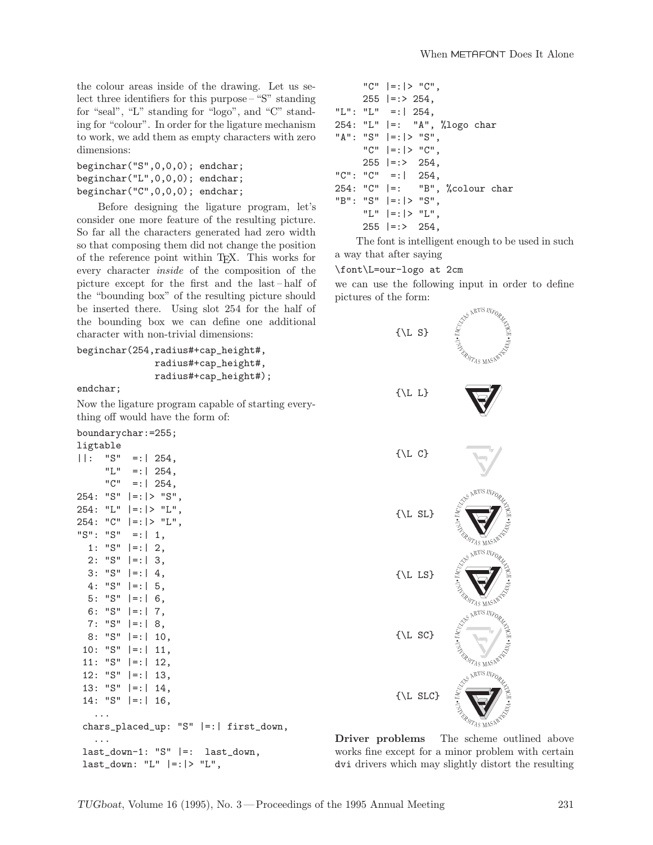the colour areas inside of the drawing. Let us select three identifiers for this purpose –"S" standing for "seal", "L" standing for "logo", and "C" standing for "colour". In order for the ligature mechanism to work, we add them as empty characters with zero dimensions:

```
beginchar("S",0,0,0); endchar;
beginchar("L",0,0,0); endchar;
beginchar("C",0,0,0); endchar;
```
Before designing the ligature program, let's consider one more feature of the resulting picture. So far all the characters generated had zero width so that composing them did not change the position of the reference point within TEX. This works for every character inside of the composition of the picture except for the first and the last– half of the "bounding box" of the resulting picture should be inserted there. Using slot 254 for the half of the bounding box we can define one additional character with non-trivial dimensions:

beginchar(254,radius#+cap\_height#, radius#+cap\_height#, radius#+cap\_height#);

endchar;

Now the ligature program capable of starting everything off would have the form of:

| boundarychar:=255; |  |
|--------------------|--|
|--------------------|--|

| ligtable |                                         |
|----------|-----------------------------------------|
| 11: I    | "S" =: $ 254$ ,                         |
|          | "L" =:   254,                           |
|          | "C" =: $ 254,$                          |
|          | $254: "S"  =:  - "S",$                  |
|          | $254: "L"  =:  -V" L",$                 |
|          | $254: "C"  =:  -V" L",$                 |
|          | "S": "S" =:   1,                        |
|          | 1: "S" $ =:$   2,                       |
|          | $2: "S"  =: 3,$                         |
|          | $3: "S"  =: 4,$                         |
|          | 4: "S" $ =:$   5,                       |
| 5:       | "S" $ =:$   6,                          |
|          | 6: "S" $ =:$   7,                       |
|          | $7: "S"  =: 8,$                         |
|          | $8: "S"  =: 10,$                        |
|          | $10: "S"  =: 11,$                       |
|          | $11: "S"  =: 12,$                       |
|          | $12: "S"  =: 13,$                       |
|          | $13: "S"  =: 14,$                       |
|          | $14: "S"  =: 16,$                       |
|          |                                         |
|          | chars_placed_up: "S"   =:   first_down, |
| .        |                                         |
|          | $last_down-1: "S"  =:$<br>last_down,    |
|          | $last_down: "L"  =:  > "L",$            |

|  | "C" $ =: >$ "C",                |  |  |
|--|---------------------------------|--|--|
|  | $255$  =:> 254,                 |  |  |
|  | "L": "L" =:   254,              |  |  |
|  | 254: "L"  =: "A", %logo char    |  |  |
|  | " $A$ ": " $S$ "  =: > " $S$ ", |  |  |
|  | "C" $ =: >$ "C",                |  |  |
|  | $255$  =:> 254,                 |  |  |
|  | "C": "C" =:   254,              |  |  |
|  | 254: "C"  =: "B", %colour char  |  |  |
|  | "B": "S" $ =: >$ "S",           |  |  |
|  | "L" $ =$ : $ >$ "L",            |  |  |
|  | $255$  =:> $254$ ,              |  |  |

The font is intelligent enough to be used in such a way that after saying

#### \font\L=our-logo at 2cm

we can use the following input in order to define pictures of the form:



Driver problems The scheme outlined above works fine except for a minor problem with certain dvi drivers which may slightly distort the resulting